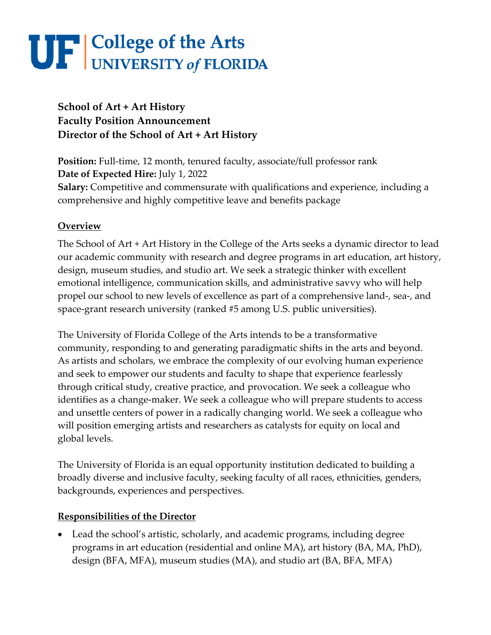### **School of Art + Art History Faculty Position Announcement Director of the School of Art + Art History**

**Position:** Full-time, 12 month, tenured faculty, associate/full professor rank **Date of Expected Hire:** July 1, 2022 **Salary:** Competitive and commensurate with qualifications and experience, including a comprehensive and highly competitive leave and benefits package

#### **Overview**

The School of Art + Art History in the College of the Arts seeks a dynamic director to lead our academic community with research and degree programs in art education, art history, design, museum studies, and studio art. We seek a strategic thinker with excellent emotional intelligence, communication skills, and administrative savvy who will help propel our school to new levels of excellence as part of a comprehensive land-, sea-, and space-grant research university (ranked #5 among U.S. public universities).

The University of Florida College of the Arts intends to be a transformative community, responding to and generating paradigmatic shifts in the arts and beyond. As artists and scholars, we embrace the complexity of our evolving human experience and seek to empower our students and faculty to shape that experience fearlessly through critical study, creative practice, and provocation. We seek a colleague who identifies as a change-maker. We seek a colleague who will prepare students to access and unsettle centers of power in a radically changing world. We seek a colleague who will position emerging artists and researchers as catalysts for equity on local and global levels.

The University of Florida is an equal opportunity institution dedicated to building a broadly diverse and inclusive faculty, seeking faculty of all races, ethnicities, genders, backgrounds, experiences and perspectives.

#### **Responsibilities of the Director**

• Lead the school's artistic, scholarly, and academic programs, including degree programs in art education (residential and online MA), art history (BA, MA, PhD), design (BFA, MFA), museum studies (MA), and studio art (BA, BFA, MFA)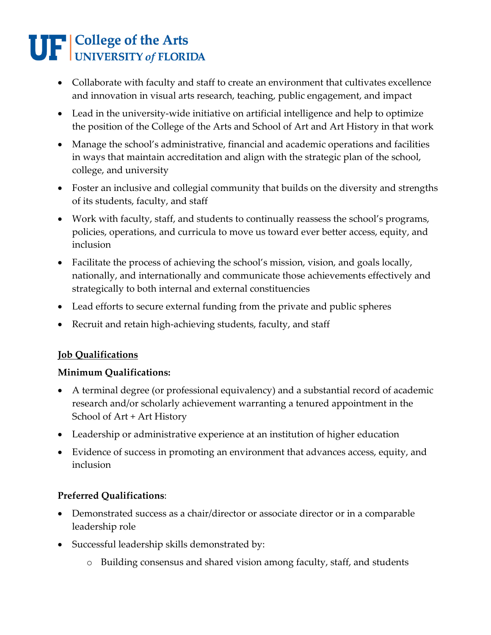- Collaborate with faculty and staff to create an environment that cultivates excellence and innovation in visual arts research, teaching, public engagement, and impact
- Lead in the university-wide initiative on artificial intelligence and help to optimize the position of the College of the Arts and School of Art and Art History in that work
- Manage the school's administrative, financial and academic operations and facilities in ways that maintain accreditation and align with the strategic plan of the school, college, and university
- Foster an inclusive and collegial community that builds on the diversity and strengths of its students, faculty, and staff
- Work with faculty, staff, and students to continually reassess the school's programs, policies, operations, and curricula to move us toward ever better access, equity, and inclusion
- Facilitate the process of achieving the school's mission, vision, and goals locally, nationally, and internationally and communicate those achievements effectively and strategically to both internal and external constituencies
- Lead efforts to secure external funding from the private and public spheres
- Recruit and retain high-achieving students, faculty, and staff

### **Job Qualifications**

### **Minimum Qualifications:**

- A terminal degree (or professional equivalency) and a substantial record of academic research and/or scholarly achievement warranting a tenured appointment in the School of Art + Art History
- Leadership or administrative experience at an institution of higher education
- Evidence of success in promoting an environment that advances access, equity, and inclusion

### **Preferred Qualifications**:

- Demonstrated success as a chair/director or associate director or in a comparable leadership role
- Successful leadership skills demonstrated by:
	- o Building consensus and shared vision among faculty, staff, and students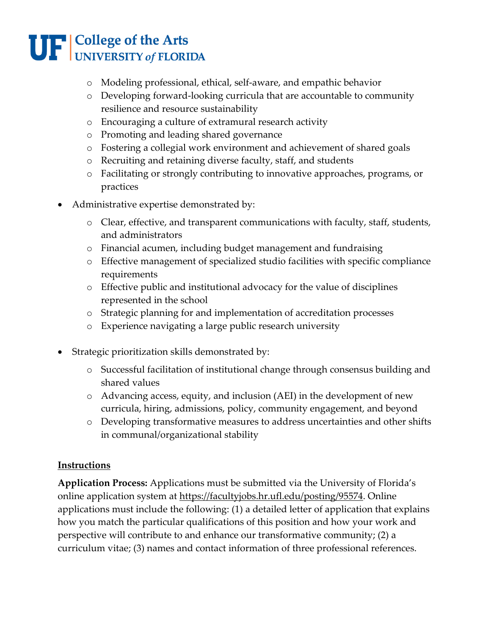- o Modeling professional, ethical, self-aware, and empathic behavior
- o Developing forward-looking curricula that are accountable to community resilience and resource sustainability
- o Encouraging a culture of extramural research activity
- o Promoting and leading shared governance
- o Fostering a collegial work environment and achievement of shared goals
- o Recruiting and retaining diverse faculty, staff, and students
- o Facilitating or strongly contributing to innovative approaches, programs, or practices
- Administrative expertise demonstrated by:
	- o Clear, effective, and transparent communications with faculty, staff, students, and administrators
	- o Financial acumen, including budget management and fundraising
	- o Effective management of specialized studio facilities with specific compliance requirements
	- o Effective public and institutional advocacy for the value of disciplines represented in the school
	- o Strategic planning for and implementation of accreditation processes
	- o Experience navigating a large public research university
- Strategic prioritization skills demonstrated by:
	- o Successful facilitation of institutional change through consensus building and shared values
	- o Advancing access, equity, and inclusion (AEI) in the development of new curricula, hiring, admissions, policy, community engagement, and beyond
	- o Developing transformative measures to address uncertainties and other shifts in communal/organizational stability

### **Instructions**

**Application Process:** Applications must be submitted via the University of Florida's online application system at [https://facultyjobs.hr.ufl.edu/posting/95574.](https://facultyjobs.hr.ufl.edu/posting/95574) Online applications must include the following: (1) a detailed letter of application that explains how you match the particular qualifications of this position and how your work and perspective will contribute to and enhance our transformative community; (2) a curriculum vitae; (3) names and contact information of three professional references.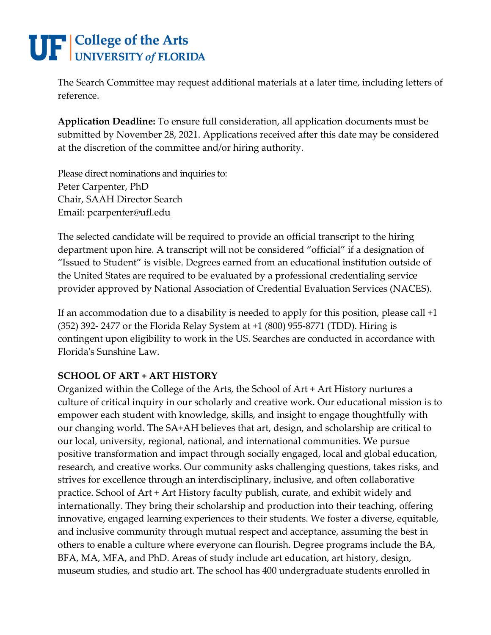The Search Committee may request additional materials at a later time, including letters of reference.

**Application Deadline:** To ensure full consideration, all application documents must be submitted by November 28, 2021. Applications received after this date may be considered at the discretion of the committee and/or hiring authority.

Please direct nominations and inquiries to: Peter Carpenter, PhD Chair, SAAH Director Search Email: [pcarpenter@ufl.edu](mailto:pcarpenter@ufl.edu)

The selected candidate will be required to provide an official transcript to the hiring department upon hire. A transcript will not be considered "official" if a designation of "Issued to Student" is visible. Degrees earned from an educational institution outside of the United States are required to be evaluated by a professional credentialing service provider approved by National Association of Credential Evaluation Services (NACES).

If an accommodation due to a disability is needed to apply for this position, please call +1 (352) 392- 2477 or the Florida Relay System at +1 (800) 955-8771 (TDD). Hiring is contingent upon eligibility to work in the US. Searches are conducted in accordance with Florida's Sunshine Law.

### **SCHOOL OF ART + ART HISTORY**

Organized within the College of the Arts, the School of Art + Art History nurtures a culture of critical inquiry in our scholarly and creative work. Our educational mission is to empower each student with knowledge, skills, and insight to engage thoughtfully with our changing world. The SA+AH believes that art, design, and scholarship are critical to our local, university, regional, national, and international communities. We pursue positive transformation and impact through socially engaged, local and global education, research, and creative works. Our community asks challenging questions, takes risks, and strives for excellence through an interdisciplinary, inclusive, and often collaborative practice. School of Art + Art History faculty publish, curate, and exhibit widely and internationally. They bring their scholarship and production into their teaching, offering innovative, engaged learning experiences to their students. We foster a diverse, equitable, and inclusive community through mutual respect and acceptance, assuming the best in others to enable a culture where everyone can flourish. Degree programs include the BA, BFA, MA, MFA, and PhD. Areas of study include art education, art history, design, museum studies, and studio art. The school has 400 undergraduate students enrolled in